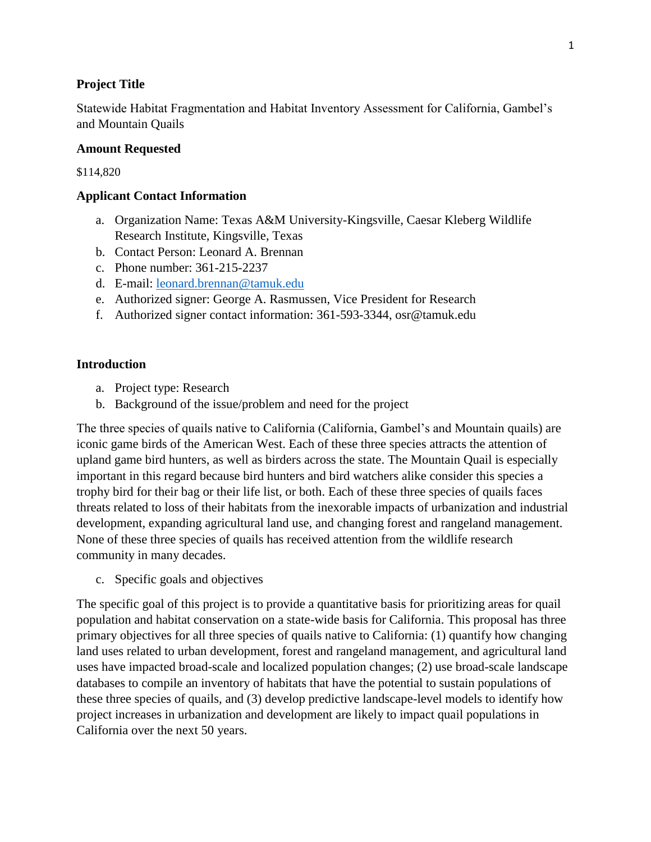### **Project Title**

Statewide Habitat Fragmentation and Habitat Inventory Assessment for California, Gambel's and Mountain Quails

### **Amount Requested**

\$114,820

## **Applicant Contact Information**

- a. Organization Name: Texas A&M University-Kingsville, Caesar Kleberg Wildlife Research Institute, Kingsville, Texas
- b. Contact Person: Leonard A. Brennan
- c. Phone number: 361-215-2237
- d. E-mail: [leonard.brennan@tamuk.edu](mailto:leonard.brennan@tamuk.edu)
- e. Authorized signer: George A. Rasmussen, Vice President for Research
- f. Authorized signer contact information: 361-593-3344, osr@tamuk.edu

### **Introduction**

- a. Project type: Research
- b. Background of the issue/problem and need for the project

The three species of quails native to California (California, Gambel's and Mountain quails) are iconic game birds of the American West. Each of these three species attracts the attention of upland game bird hunters, as well as birders across the state. The Mountain Quail is especially important in this regard because bird hunters and bird watchers alike consider this species a trophy bird for their bag or their life list, or both. Each of these three species of quails faces threats related to loss of their habitats from the inexorable impacts of urbanization and industrial development, expanding agricultural land use, and changing forest and rangeland management. None of these three species of quails has received attention from the wildlife research community in many decades.

c. Specific goals and objectives

The specific goal of this project is to provide a quantitative basis for prioritizing areas for quail population and habitat conservation on a state-wide basis for California. This proposal has three primary objectives for all three species of quails native to California: (1) quantify how changing land uses related to urban development, forest and rangeland management, and agricultural land uses have impacted broad-scale and localized population changes; (2) use broad-scale landscape databases to compile an inventory of habitats that have the potential to sustain populations of these three species of quails, and (3) develop predictive landscape-level models to identify how project increases in urbanization and development are likely to impact quail populations in California over the next 50 years.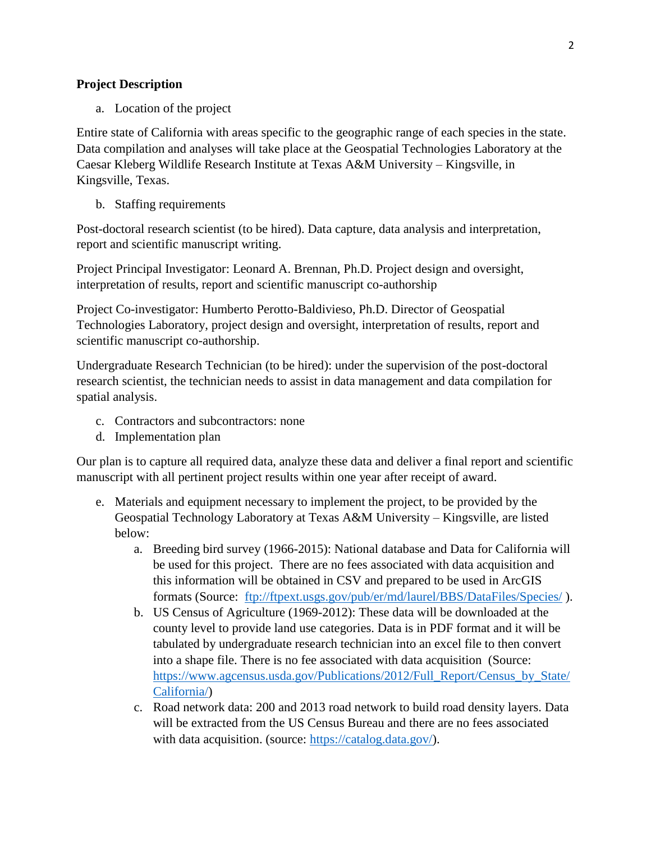# **Project Description**

a. Location of the project

Entire state of California with areas specific to the geographic range of each species in the state. Data compilation and analyses will take place at the Geospatial Technologies Laboratory at the Caesar Kleberg Wildlife Research Institute at Texas A&M University – Kingsville, in Kingsville, Texas.

b. Staffing requirements

Post-doctoral research scientist (to be hired). Data capture, data analysis and interpretation, report and scientific manuscript writing.

Project Principal Investigator: Leonard A. Brennan, Ph.D. Project design and oversight, interpretation of results, report and scientific manuscript co-authorship

Project Co-investigator: Humberto Perotto-Baldivieso, Ph.D. Director of Geospatial Technologies Laboratory, project design and oversight, interpretation of results, report and scientific manuscript co-authorship.

Undergraduate Research Technician (to be hired): under the supervision of the post-doctoral research scientist, the technician needs to assist in data management and data compilation for spatial analysis.

- c. Contractors and subcontractors: none
- d. Implementation plan

Our plan is to capture all required data, analyze these data and deliver a final report and scientific manuscript with all pertinent project results within one year after receipt of award.

- e. Materials and equipment necessary to implement the project, to be provided by the Geospatial Technology Laboratory at Texas A&M University – Kingsville, are listed below:
	- a. Breeding bird survey (1966-2015): National database and Data for California will be used for this project. There are no fees associated with data acquisition and this information will be obtained in CSV and prepared to be used in ArcGIS formats (Source: <ftp://ftpext.usgs.gov/pub/er/md/laurel/BBS/DataFiles/Species/> ).
	- b. US Census of Agriculture (1969-2012): These data will be downloaded at the county level to provide land use categories. Data is in PDF format and it will be tabulated by undergraduate research technician into an excel file to then convert into a shape file. There is no fee associated with data acquisition (Source: [https://www.agcensus.usda.gov/Publications/2012/Full\\_Report/Census\\_by\\_State/](https://www.agcensus.usda.gov/Publications/2012/Full_Report/Census_by_State/California/) [California/\)](https://www.agcensus.usda.gov/Publications/2012/Full_Report/Census_by_State/California/)
	- c. Road network data: 200 and 2013 road network to build road density layers. Data will be extracted from the US Census Bureau and there are no fees associated with data acquisition. (source: [https://catalog.data.gov/\)](https://catalog.data.gov/).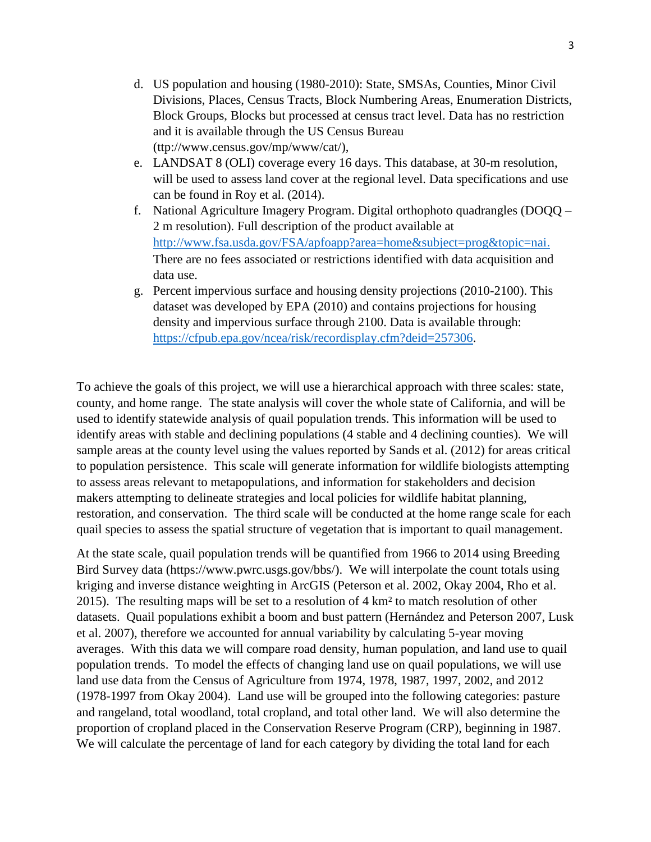- d. US population and housing (1980-2010): State, SMSAs, Counties, Minor Civil Divisions, Places, Census Tracts, Block Numbering Areas, Enumeration Districts, Block Groups, Blocks but processed at census tract level. Data has no restriction and it is available through the US Census Bureau (ttp://www.census.gov/mp/www/cat/),
- e. LANDSAT 8 (OLI) coverage every 16 days. This database, at 30-m resolution, will be used to assess land cover at the regional level. Data specifications and use can be found in Roy et al. (2014).
- f. National Agriculture Imagery Program. Digital orthophoto quadrangles (DOQQ 2 m resolution). Full description of the product available at <http://www.fsa.usda.gov/FSA/apfoapp?area=home&subject=prog&topic=nai>. There are no fees associated or restrictions identified with data acquisition and data use.
- g. Percent impervious surface and housing density projections (2010-2100). This dataset was developed by EPA (2010) and contains projections for housing density and impervious surface through 2100. Data is available through: [https://cfpub.epa.gov/ncea/risk/recordisplay.cfm?deid=257306.](https://cfpub.epa.gov/ncea/risk/recordisplay.cfm?deid=257306)

To achieve the goals of this project, we will use a hierarchical approach with three scales: state, county, and home range. The state analysis will cover the whole state of California, and will be used to identify statewide analysis of quail population trends. This information will be used to identify areas with stable and declining populations (4 stable and 4 declining counties). We will sample areas at the county level using the values reported by Sands et al. (2012) for areas critical to population persistence. This scale will generate information for wildlife biologists attempting to assess areas relevant to metapopulations, and information for stakeholders and decision makers attempting to delineate strategies and local policies for wildlife habitat planning, restoration, and conservation. The third scale will be conducted at the home range scale for each quail species to assess the spatial structure of vegetation that is important to quail management.

At the state scale, quail population trends will be quantified from 1966 to 2014 using Breeding Bird Survey data (https://www.pwrc.usgs.gov/bbs/). We will interpolate the count totals using kriging and inverse distance weighting in ArcGIS (Peterson et al. 2002, Okay 2004, Rho et al. 2015). The resulting maps will be set to a resolution of 4 km² to match resolution of other datasets. Quail populations exhibit a boom and bust pattern (Hernández and Peterson 2007, Lusk et al. 2007), therefore we accounted for annual variability by calculating 5-year moving averages. With this data we will compare road density, human population, and land use to quail population trends. To model the effects of changing land use on quail populations, we will use land use data from the Census of Agriculture from 1974, 1978, 1987, 1997, 2002, and 2012 (1978-1997 from Okay 2004). Land use will be grouped into the following categories: pasture and rangeland, total woodland, total cropland, and total other land. We will also determine the proportion of cropland placed in the Conservation Reserve Program (CRP), beginning in 1987. We will calculate the percentage of land for each category by dividing the total land for each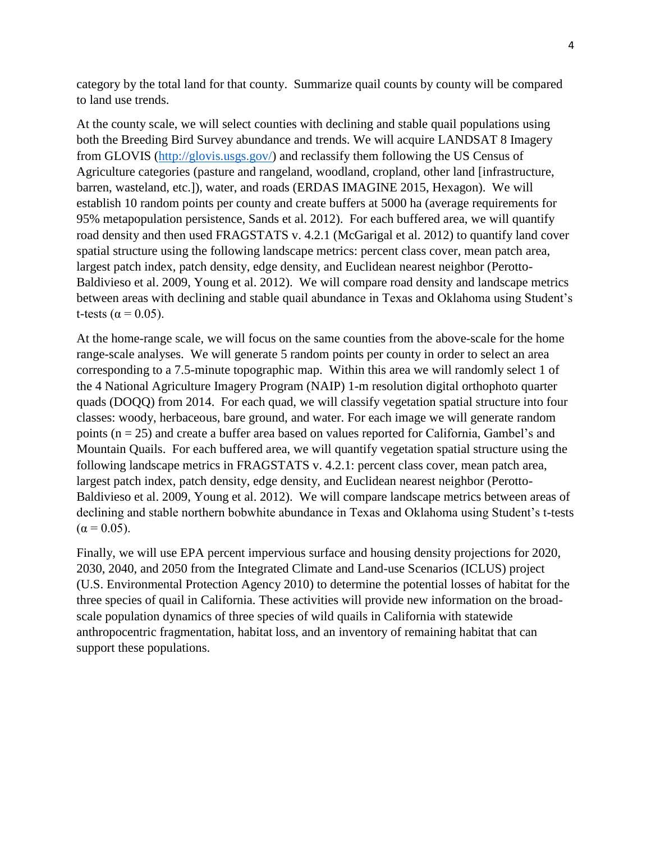category by the total land for that county. Summarize quail counts by county will be compared to land use trends.

At the county scale, we will select counties with declining and stable quail populations using both the Breeding Bird Survey abundance and trends. We will acquire LANDSAT 8 Imagery from GLOVIS [\(http://glovis.usgs.gov/\)](http://glovis.usgs.gov/) and reclassify them following the US Census of Agriculture categories (pasture and rangeland, woodland, cropland, other land [infrastructure, barren, wasteland, etc.]), water, and roads (ERDAS IMAGINE 2015, Hexagon). We will establish 10 random points per county and create buffers at 5000 ha (average requirements for 95% metapopulation persistence, Sands et al. 2012). For each buffered area, we will quantify road density and then used FRAGSTATS v. 4.2.1 (McGarigal et al. 2012) to quantify land cover spatial structure using the following landscape metrics: percent class cover, mean patch area, largest patch index, patch density, edge density, and Euclidean nearest neighbor (Perotto-Baldivieso et al. 2009, Young et al. 2012). We will compare road density and landscape metrics between areas with declining and stable quail abundance in Texas and Oklahoma using Student's t-tests ( $\alpha$  = 0.05).

At the home-range scale, we will focus on the same counties from the above-scale for the home range-scale analyses. We will generate 5 random points per county in order to select an area corresponding to a 7.5-minute topographic map. Within this area we will randomly select 1 of the 4 National Agriculture Imagery Program (NAIP) 1-m resolution digital orthophoto quarter quads (DOQQ) from 2014. For each quad, we will classify vegetation spatial structure into four classes: woody, herbaceous, bare ground, and water. For each image we will generate random points (n = 25) and create a buffer area based on values reported for California, Gambel's and Mountain Quails. For each buffered area, we will quantify vegetation spatial structure using the following landscape metrics in FRAGSTATS v. 4.2.1: percent class cover, mean patch area, largest patch index, patch density, edge density, and Euclidean nearest neighbor (Perotto-Baldivieso et al. 2009, Young et al. 2012). We will compare landscape metrics between areas of declining and stable northern bobwhite abundance in Texas and Oklahoma using Student's t-tests  $(\alpha = 0.05)$ .

Finally, we will use EPA percent impervious surface and housing density projections for 2020, 2030, 2040, and 2050 from the Integrated Climate and Land-use Scenarios (ICLUS) project (U.S. Environmental Protection Agency 2010) to determine the potential losses of habitat for the three species of quail in California. These activities will provide new information on the broadscale population dynamics of three species of wild quails in California with statewide anthropocentric fragmentation, habitat loss, and an inventory of remaining habitat that can support these populations.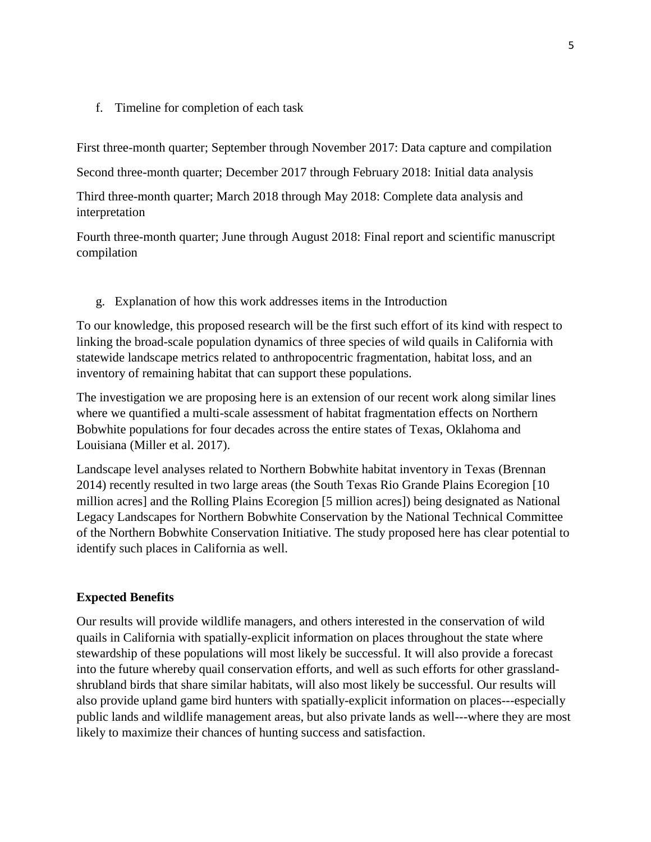#### f. Timeline for completion of each task

First three-month quarter; September through November 2017: Data capture and compilation

Second three-month quarter; December 2017 through February 2018: Initial data analysis

Third three-month quarter; March 2018 through May 2018: Complete data analysis and interpretation

Fourth three-month quarter; June through August 2018: Final report and scientific manuscript compilation

g. Explanation of how this work addresses items in the Introduction

To our knowledge, this proposed research will be the first such effort of its kind with respect to linking the broad-scale population dynamics of three species of wild quails in California with statewide landscape metrics related to anthropocentric fragmentation, habitat loss, and an inventory of remaining habitat that can support these populations.

The investigation we are proposing here is an extension of our recent work along similar lines where we quantified a multi-scale assessment of habitat fragmentation effects on Northern Bobwhite populations for four decades across the entire states of Texas, Oklahoma and Louisiana (Miller et al. 2017).

Landscape level analyses related to Northern Bobwhite habitat inventory in Texas (Brennan 2014) recently resulted in two large areas (the South Texas Rio Grande Plains Ecoregion [10 million acres] and the Rolling Plains Ecoregion [5 million acres]) being designated as National Legacy Landscapes for Northern Bobwhite Conservation by the National Technical Committee of the Northern Bobwhite Conservation Initiative. The study proposed here has clear potential to identify such places in California as well.

### **Expected Benefits**

Our results will provide wildlife managers, and others interested in the conservation of wild quails in California with spatially-explicit information on places throughout the state where stewardship of these populations will most likely be successful. It will also provide a forecast into the future whereby quail conservation efforts, and well as such efforts for other grasslandshrubland birds that share similar habitats, will also most likely be successful. Our results will also provide upland game bird hunters with spatially-explicit information on places---especially public lands and wildlife management areas, but also private lands as well---where they are most likely to maximize their chances of hunting success and satisfaction.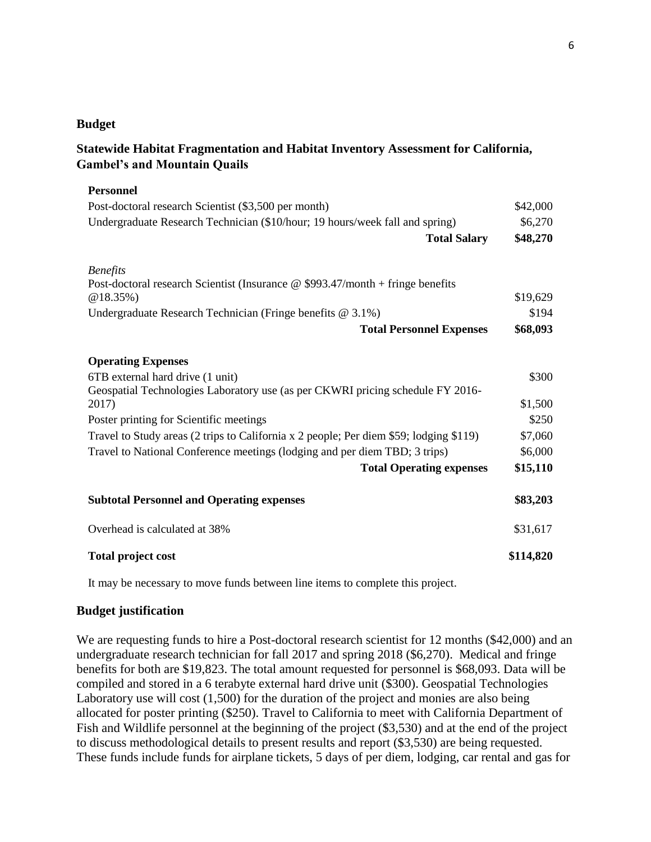#### **Budget**

# **Statewide Habitat Fragmentation and Habitat Inventory Assessment for California, Gambel's and Mountain Quails**

| <b>Personnel</b>                                                                                     |           |
|------------------------------------------------------------------------------------------------------|-----------|
| Post-doctoral research Scientist (\$3,500 per month)                                                 | \$42,000  |
| Undergraduate Research Technician (\$10/hour; 19 hours/week fall and spring)                         | \$6,270   |
| <b>Total Salary</b>                                                                                  | \$48,270  |
| <b>Benefits</b>                                                                                      |           |
| Post-doctoral research Scientist (Insurance $\omega$ \$993.47/month + fringe benefits<br>$@18.35\%)$ | \$19,629  |
| Undergraduate Research Technician (Fringe benefits @ 3.1%)                                           | \$194     |
| <b>Total Personnel Expenses</b>                                                                      | \$68,093  |
| <b>Operating Expenses</b>                                                                            |           |
| 6TB external hard drive (1 unit)                                                                     | \$300     |
| Geospatial Technologies Laboratory use (as per CKWRI pricing schedule FY 2016-                       |           |
| 2017)                                                                                                | \$1,500   |
| Poster printing for Scientific meetings                                                              | \$250     |
| Travel to Study areas (2 trips to California x 2 people; Per diem \$59; lodging \$119)               | \$7,060   |
| Travel to National Conference meetings (lodging and per diem TBD; 3 trips)                           | \$6,000   |
| <b>Total Operating expenses</b>                                                                      | \$15,110  |
| <b>Subtotal Personnel and Operating expenses</b>                                                     | \$83,203  |
| Overhead is calculated at 38%                                                                        | \$31,617  |
| <b>Total project cost</b>                                                                            | \$114,820 |

It may be necessary to move funds between line items to complete this project.

#### **Budget justification**

We are requesting funds to hire a Post-doctoral research scientist for 12 months (\$42,000) and an undergraduate research technician for fall 2017 and spring 2018 (\$6,270). Medical and fringe benefits for both are \$19,823. The total amount requested for personnel is \$68,093. Data will be compiled and stored in a 6 terabyte external hard drive unit (\$300). Geospatial Technologies Laboratory use will cost (1,500) for the duration of the project and monies are also being allocated for poster printing (\$250). Travel to California to meet with California Department of Fish and Wildlife personnel at the beginning of the project (\$3,530) and at the end of the project to discuss methodological details to present results and report (\$3,530) are being requested. These funds include funds for airplane tickets, 5 days of per diem, lodging, car rental and gas for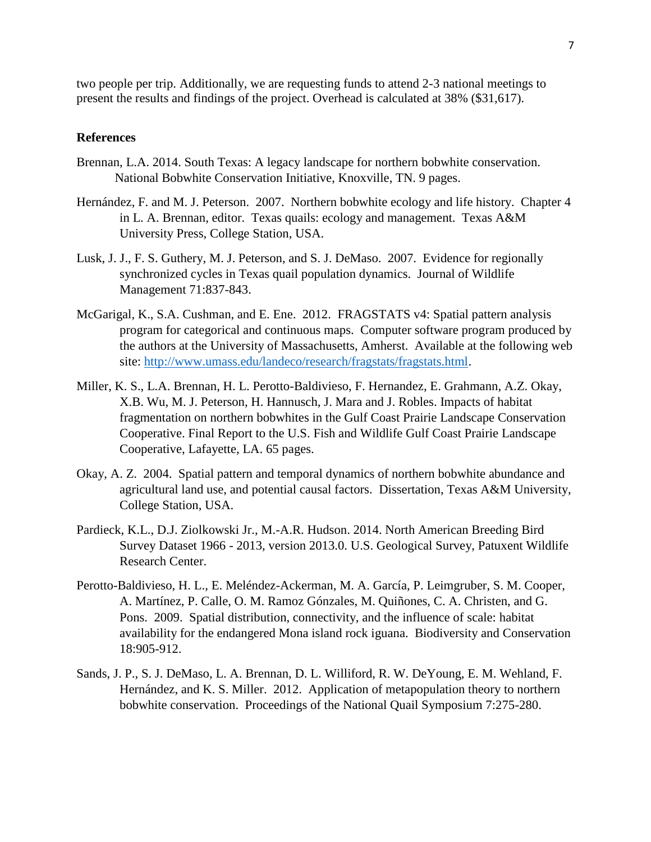two people per trip. Additionally, we are requesting funds to attend 2-3 national meetings to present the results and findings of the project. Overhead is calculated at 38% (\$31,617).

#### **References**

- Brennan, L.A. 2014. South Texas: A legacy landscape for northern bobwhite conservation. National Bobwhite Conservation Initiative, Knoxville, TN. 9 pages.
- Hernández, F. and M. J. Peterson. 2007. Northern bobwhite ecology and life history. Chapter 4 in L. A. Brennan, editor. Texas quails: ecology and management. Texas A&M University Press, College Station, USA.
- Lusk, J. J., F. S. Guthery, M. J. Peterson, and S. J. DeMaso. 2007. Evidence for regionally synchronized cycles in Texas quail population dynamics. Journal of Wildlife Management 71:837-843.
- McGarigal, K., S.A. Cushman, and E. Ene. 2012. FRAGSTATS v4: Spatial pattern analysis program for categorical and continuous maps. Computer software program produced by the authors at the University of Massachusetts, Amherst. Available at the following web site: [http://www.umass.edu/landeco/research/fragstats/fragstats.html.](http://www.umass.edu/landeco/research/fragstats/fragstats.html)
- Miller, K. S., L.A. Brennan, H. L. Perotto-Baldivieso, F. Hernandez, E. Grahmann, A.Z. Okay, X.B. Wu, M. J. Peterson, H. Hannusch, J. Mara and J. Robles. Impacts of habitat fragmentation on northern bobwhites in the Gulf Coast Prairie Landscape Conservation Cooperative. Final Report to the U.S. Fish and Wildlife Gulf Coast Prairie Landscape Cooperative, Lafayette, LA. 65 pages.
- Okay, A. Z. 2004. Spatial pattern and temporal dynamics of northern bobwhite abundance and agricultural land use, and potential causal factors. Dissertation, Texas A&M University, College Station, USA.
- Pardieck, K.L., D.J. Ziolkowski Jr., M.-A.R. Hudson. 2014. North American Breeding Bird Survey Dataset 1966 - 2013, version 2013.0. U.S. Geological Survey, Patuxent Wildlife Research Center.
- Perotto-Baldivieso, H. L., E. Meléndez-Ackerman, M. A. García, P. Leimgruber, S. M. Cooper, A. Martínez, P. Calle, O. M. Ramoz Gónzales, M. Quiñones, C. A. Christen, and G. Pons. 2009. Spatial distribution, connectivity, and the influence of scale: habitat availability for the endangered Mona island rock iguana. Biodiversity and Conservation 18:905-912.
- Sands, J. P., S. J. DeMaso, L. A. Brennan, D. L. Williford, R. W. DeYoung, E. M. Wehland, F. Hernández, and K. S. Miller. 2012. Application of metapopulation theory to northern bobwhite conservation. Proceedings of the National Quail Symposium 7:275-280.